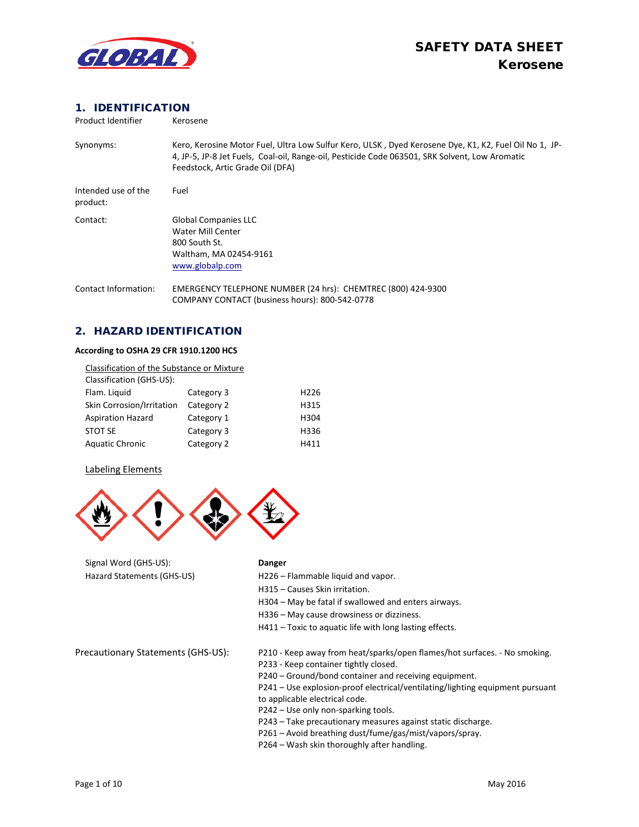

### 1. IDENTIFICATION

| Product Identifier              | Kerosene                                                                                                                                                                                                                                    |
|---------------------------------|---------------------------------------------------------------------------------------------------------------------------------------------------------------------------------------------------------------------------------------------|
| Synonyms:                       | Kero, Kerosine Motor Fuel, Ultra Low Sulfur Kero, ULSK, Dyed Kerosene Dye, K1, K2, Fuel Oil No 1, JP-<br>4, JP-5, JP-8 Jet Fuels, Coal-oil, Range-oil, Pesticide Code 063501, SRK Solvent, Low Aromatic<br>Feedstock, Artic Grade Oil (DFA) |
| Intended use of the<br>product: | Fuel                                                                                                                                                                                                                                        |
| Contact:                        | <b>Global Companies LLC</b><br>Water Mill Center<br>800 South St.<br>Waltham, MA 02454-9161<br>www.globalp.com                                                                                                                              |
| <b>Contact Information:</b>     | EMERGENCY TELEPHONE NUMBER (24 hrs): CHEMTREC (800) 424-9300<br>COMPANY CONTACT (business hours): 800-542-0778                                                                                                                              |

### 2. HAZARD IDENTIFICATION

#### **According to OSHA 29 CFR 1910.1200 HCS**

| Classification of the Substance or Mixture |            |                  |
|--------------------------------------------|------------|------------------|
| Classification (GHS-US):                   |            |                  |
| Flam. Liquid                               | Category 3 | H <sub>226</sub> |
| Skin Corrosion/Irritation                  | Category 2 | H315             |
| <b>Aspiration Hazard</b>                   | Category 1 | H304             |
| STOT SE                                    | Category 3 | H336             |
| <b>Aquatic Chronic</b>                     | Category 2 | H411             |

#### Labeling Elements



Signal Word (GHS-US): **Danger**

- Hazard Statements (GHS-US) H226 Flammable liquid and vapor.
	- H315 Causes Skin irritation.
	- H304 May be fatal if swallowed and enters airways.
	- H336 May cause drowsiness or dizziness.
	- H411 Toxic to aquatic life with long lasting effects.

- Precautionary Statements (GHS-US): P210 Keep away from heat/sparks/open flames/hot surfaces. No smoking.
	- P233 Keep container tightly closed.
	- P240 Ground/bond container and receiving equipment.

P241 – Use explosion-proof electrical/ventilating/lighting equipment pursuant to applicable electrical code.

- P242 Use only non-sparking tools.
- P243 Take precautionary measures against static discharge.
- P261 Avoid breathing dust/fume/gas/mist/vapors/spray.
- P264 Wash skin thoroughly after handling.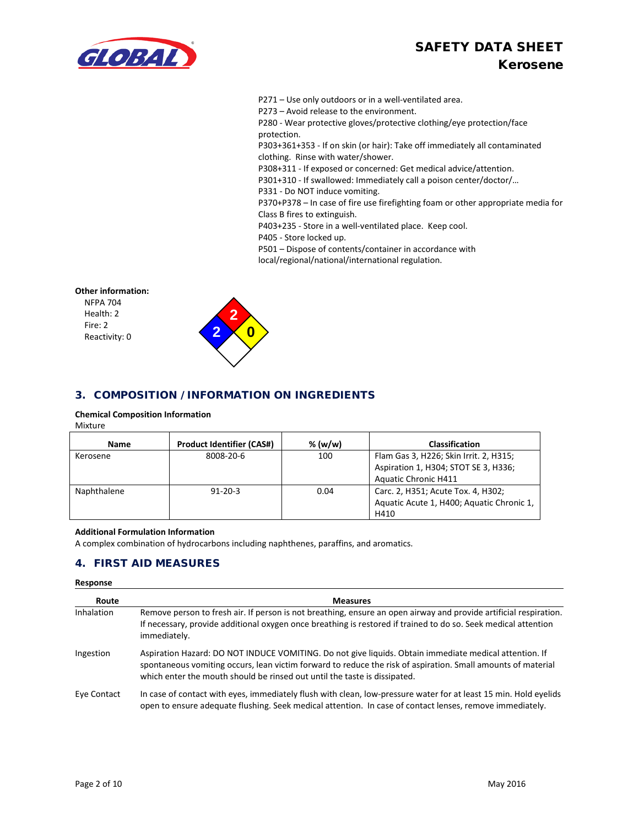# SAFETY DATA SHEET Kerosene



P271 – Use only outdoors or in a well-ventilated area.

P273 – Avoid release to the environment.

P280 - Wear protective gloves/protective clothing/eye protection/face protection.

P303+361+353 - If on skin (or hair): Take off immediately all contaminated clothing. Rinse with water/shower.

P308+311 - If exposed or concerned: Get medical advice/attention.

P301+310 - If swallowed: Immediately call a poison center/doctor/…

P331 - Do NOT induce vomiting.

P370+P378 – In case of fire use firefighting foam or other appropriate media for Class B fires to extinguish.

P403+235 - Store in a well-ventilated place. Keep cool.

P405 - Store locked up.

P501 – Dispose of contents/container in accordance with local/regional/national/international regulation.

### **Other information:**

NFPA 704 Health: 2 Fire: 2 Reactivity: 0



### 3. COMPOSITION / INFORMATION ON INGREDIENTS

#### **Chemical Composition Information**

Mixture

| Name        | <b>Product Identifier (CAS#)</b> | % (w/w) | <b>Classification</b>                                                                                         |
|-------------|----------------------------------|---------|---------------------------------------------------------------------------------------------------------------|
| Kerosene    | 8008-20-6                        | 100     | Flam Gas 3, H226; Skin Irrit. 2, H315;<br>Aspiration 1, H304; STOT SE 3, H336;<br><b>Aquatic Chronic H411</b> |
| Naphthalene | $91 - 20 - 3$                    | 0.04    | Carc. 2, H351; Acute Tox. 4, H302;<br>Aquatic Acute 1, H400; Aquatic Chronic 1,<br>H410                       |

#### **Additional Formulation Information**

A complex combination of hydrocarbons including naphthenes, paraffins, and aromatics.

### 4. FIRST AID MEASURES

## **Response Route Measures** Inhalation Remove person to fresh air. If person is not breathing, ensure an open airway and provide artificial respiration. If necessary, provide additional oxygen once breathing is restored if trained to do so. Seek medical attention immediately. Ingestion Aspiration Hazard: DO NOT INDUCE VOMITING. Do not give liquids. Obtain immediate medical attention. If spontaneous vomiting occurs, lean victim forward to reduce the risk of aspiration. Small amounts of material which enter the mouth should be rinsed out until the taste is dissipated. Eye Contact In case of contact with eyes, immediately flush with clean, low-pressure water for at least 15 min. Hold eyelids open to ensure adequate flushing. Seek medical attention. In case of contact lenses, remove immediately.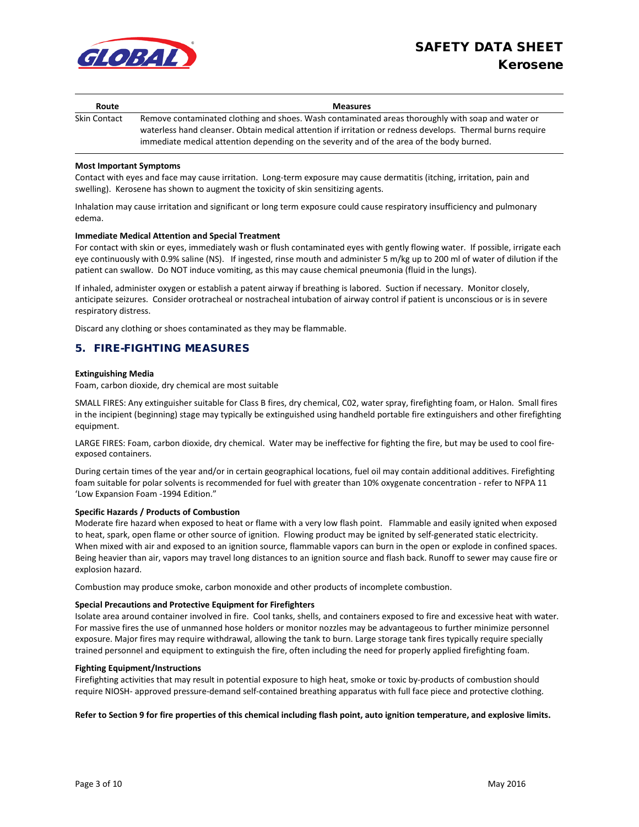

| Route               | <b>Measures</b>                                                                                                                                                                                                                                                                                              |
|---------------------|--------------------------------------------------------------------------------------------------------------------------------------------------------------------------------------------------------------------------------------------------------------------------------------------------------------|
| <b>Skin Contact</b> | Remove contaminated clothing and shoes. Wash contaminated areas thoroughly with soap and water or<br>waterless hand cleanser. Obtain medical attention if irritation or redness develops. Thermal burns require<br>immediate medical attention depending on the severity and of the area of the body burned. |

#### **Most Important Symptoms**

Contact with eyes and face may cause irritation. Long-term exposure may cause dermatitis (itching, irritation, pain and swelling). Kerosene has shown to augment the toxicity of skin sensitizing agents.

Inhalation may cause irritation and significant or long term exposure could cause respiratory insufficiency and pulmonary edema.

#### **Immediate Medical Attention and Special Treatment**

For contact with skin or eyes, immediately wash or flush contaminated eyes with gently flowing water. If possible, irrigate each eye continuously with 0.9% saline (NS). If ingested, rinse mouth and administer 5 m/kg up to 200 ml of water of dilution if the patient can swallow. Do NOT induce vomiting, as this may cause chemical pneumonia (fluid in the lungs).

If inhaled, administer oxygen or establish a patent airway if breathing is labored. Suction if necessary. Monitor closely, anticipate seizures. Consider orotracheal or nostracheal intubation of airway control if patient is unconscious or is in severe respiratory distress.

Discard any clothing or shoes contaminated as they may be flammable.

### 5. FIRE-FIGHTING MEASURES

#### **Extinguishing Media**

Foam, carbon dioxide, dry chemical are most suitable

SMALL FIRES: Any extinguisher suitable for Class B fires, dry chemical, C02, water spray, firefighting foam, or Halon. Small fires in the incipient (beginning) stage may typically be extinguished using handheld portable fire extinguishers and other firefighting equipment.

LARGE FIRES: Foam, carbon dioxide, dry chemical. Water may be ineffective for fighting the fire, but may be used to cool fireexposed containers.

During certain times of the year and/or in certain geographical locations, fuel oil may contain additional additives. Firefighting foam suitable for polar solvents is recommended for fuel with greater than 10% oxygenate concentration - refer to NFPA 11 'Low Expansion Foam -1994 Edition."

#### **Specific Hazards / Products of Combustion**

Moderate fire hazard when exposed to heat or flame with a very low flash point. Flammable and easily ignited when exposed to heat, spark, open flame or other source of ignition. Flowing product may be ignited by self-generated static electricity. When mixed with air and exposed to an ignition source, flammable vapors can burn in the open or explode in confined spaces. Being heavier than air, vapors may travel long distances to an ignition source and flash back. Runoff to sewer may cause fire or explosion hazard.

Combustion may produce smoke, carbon monoxide and other products of incomplete combustion.

#### **Special Precautions and Protective Equipment for Firefighters**

Isolate area around container involved in fire. Cool tanks, shells, and containers exposed to fire and excessive heat with water. For massive fires the use of unmanned hose holders or monitor nozzles may be advantageous to further minimize personnel exposure. Major fires may require withdrawal, allowing the tank to burn. Large storage tank fires typically require specially trained personnel and equipment to extinguish the fire, often including the need for properly applied firefighting foam.

#### **Fighting Equipment/Instructions**

Firefighting activities that may result in potential exposure to high heat, smoke or toxic by-products of combustion should require NIOSH- approved pressure-demand self-contained breathing apparatus with full face piece and protective clothing.

#### **Refer to Section 9 for fire properties of this chemical including flash point, auto ignition temperature, and explosive limits.**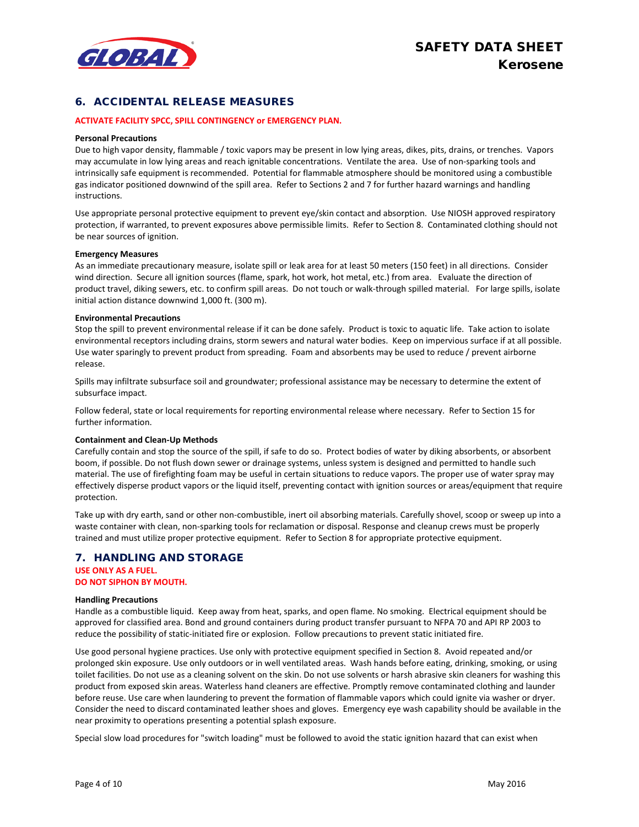

### 6. ACCIDENTAL RELEASE MEASURES

#### **ACTIVATE FACILITY SPCC, SPILL CONTINGENCY or EMERGENCY PLAN.**

#### **Personal Precautions**

Due to high vapor density, flammable / toxic vapors may be present in low lying areas, dikes, pits, drains, or trenches. Vapors may accumulate in low lying areas and reach ignitable concentrations. Ventilate the area. Use of non-sparking tools and intrinsically safe equipment is recommended. Potential for flammable atmosphere should be monitored using a combustible gas indicator positioned downwind of the spill area. Refer to Sections 2 and 7 for further hazard warnings and handling instructions.

Use appropriate personal protective equipment to prevent eye/skin contact and absorption. Use NIOSH approved respiratory protection, if warranted, to prevent exposures above permissible limits. Refer to Section 8. Contaminated clothing should not be near sources of ignition.

#### **Emergency Measures**

As an immediate precautionary measure, isolate spill or leak area for at least 50 meters (150 feet) in all directions. Consider wind direction. Secure all ignition sources (flame, spark, hot work, hot metal, etc.) from area. Evaluate the direction of product travel, diking sewers, etc. to confirm spill areas. Do not touch or walk-through spilled material. For large spills, isolate initial action distance downwind 1,000 ft. (300 m).

#### **Environmental Precautions**

Stop the spill to prevent environmental release if it can be done safely. Product is toxic to aquatic life. Take action to isolate environmental receptors including drains, storm sewers and natural water bodies. Keep on impervious surface if at all possible. Use water sparingly to prevent product from spreading. Foam and absorbents may be used to reduce / prevent airborne release.

Spills may infiltrate subsurface soil and groundwater; professional assistance may be necessary to determine the extent of subsurface impact.

Follow federal, state or local requirements for reporting environmental release where necessary. Refer to Section 15 for further information.

#### **Containment and Clean-Up Methods**

Carefully contain and stop the source of the spill, if safe to do so. Protect bodies of water by diking absorbents, or absorbent boom, if possible. Do not flush down sewer or drainage systems, unless system is designed and permitted to handle such material. The use of firefighting foam may be useful in certain situations to reduce vapors. The proper use of water spray may effectively disperse product vapors or the liquid itself, preventing contact with ignition sources or areas/equipment that require protection.

Take up with dry earth, sand or other non-combustible, inert oil absorbing materials. Carefully shovel, scoop or sweep up into a waste container with clean, non-sparking tools for reclamation or disposal. Response and cleanup crews must be properly trained and must utilize proper protective equipment. Refer to Section 8 for appropriate protective equipment.

### 7. HANDLING AND STORAGE **USE ONLY AS A FUEL.**

**DO NOT SIPHON BY MOUTH.**

#### **Handling Precautions**

Handle as a combustible liquid. Keep away from heat, sparks, and open flame. No smoking. Electrical equipment should be approved for classified area. Bond and ground containers during product transfer pursuant to NFPA 70 and API RP 2003 to reduce the possibility of static-initiated fire or explosion. Follow precautions to prevent static initiated fire.

Use good personal hygiene practices. Use only with protective equipment specified in Section 8. Avoid repeated and/or prolonged skin exposure. Use only outdoors or in well ventilated areas. Wash hands before eating, drinking, smoking, or using toilet facilities. Do not use as a cleaning solvent on the skin. Do not use solvents or harsh abrasive skin cleaners for washing this product from exposed skin areas. Waterless hand cleaners are effective. Promptly remove contaminated clothing and launder before reuse. Use care when laundering to prevent the formation of flammable vapors which could ignite via washer or dryer. Consider the need to discard contaminated leather shoes and gloves. Emergency eye wash capability should be available in the near proximity to operations presenting a potential splash exposure.

Special slow load procedures for "switch loading" must be followed to avoid the static ignition hazard that can exist when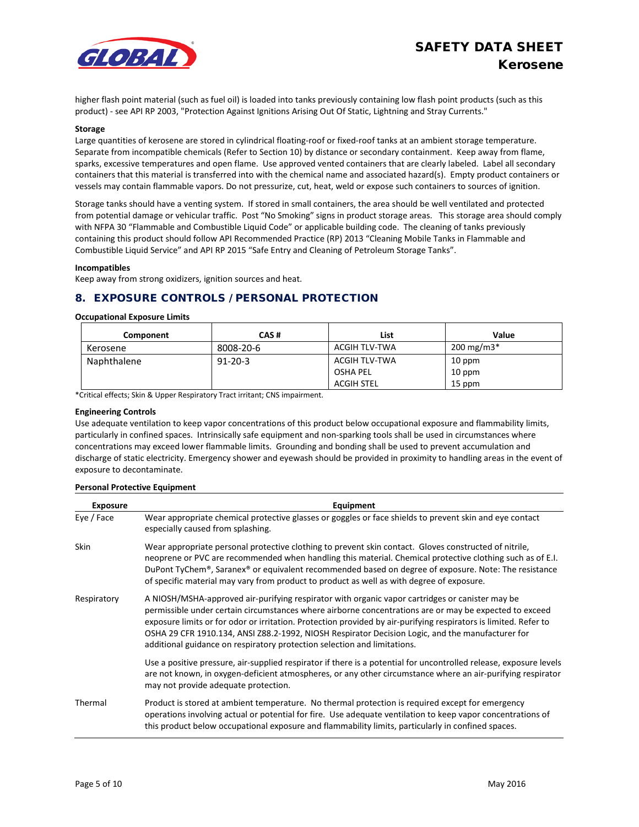

higher flash point material (such as fuel oil) is loaded into tanks previously containing low flash point products (such as this product) - see API RP 2003, "Protection Against Ignitions Arising Out Of Static, Lightning and Stray Currents."

#### **Storage**

Large quantities of kerosene are stored in cylindrical floating-roof or fixed-roof tanks at an ambient storage temperature. Separate from incompatible chemicals (Refer to Section 10) by distance or secondary containment. Keep away from flame, sparks, excessive temperatures and open flame. Use approved vented containers that are clearly labeled. Label all secondary containers that this material is transferred into with the chemical name and associated hazard(s). Empty product containers or vessels may contain flammable vapors. Do not pressurize, cut, heat, weld or expose such containers to sources of ignition.

Storage tanks should have a venting system. If stored in small containers, the area should be well ventilated and protected from potential damage or vehicular traffic. Post "No Smoking" signs in product storage areas. This storage area should comply with NFPA 30 "Flammable and Combustible Liquid Code" or applicable building code. The cleaning of tanks previously containing this product should follow API Recommended Practice (RP) 2013 "Cleaning Mobile Tanks in Flammable and Combustible Liquid Service" and API RP 2015 "Safe Entry and Cleaning of Petroleum Storage Tanks".

#### **Incompatibles**

Keep away from strong oxidizers, ignition sources and heat.

### 8. EXPOSURE CONTROLS / PERSONAL PROTECTION

#### **Occupational Exposure Limits**

| Component   | CAS#          | List          | Value                   |
|-------------|---------------|---------------|-------------------------|
| Kerosene    | 8008-20-6     | ACGIH TLV-TWA | $200 \,\mathrm{mg/m3*}$ |
| Naphthalene | $91 - 20 - 3$ | ACGIH TLV-TWA | 10 ppm                  |
|             |               | OSHA PEL      | 10 ppm                  |
|             |               | ACGIH STEL    | 15 ppm                  |

\*Critical effects; Skin & Upper Respiratory Tract irritant; CNS impairment.

#### **Engineering Controls**

Use adequate ventilation to keep vapor concentrations of this product below occupational exposure and flammability limits, particularly in confined spaces. Intrinsically safe equipment and non-sparking tools shall be used in circumstances where concentrations may exceed lower flammable limits. Grounding and bonding shall be used to prevent accumulation and discharge of static electricity. Emergency shower and eyewash should be provided in proximity to handling areas in the event of exposure to decontaminate.

#### **Personal Protective Equipment**

| <b>Exposure</b> | Equipment                                                                                                                                                                                                                                                                                                                                                                                                                                                                                                     |
|-----------------|---------------------------------------------------------------------------------------------------------------------------------------------------------------------------------------------------------------------------------------------------------------------------------------------------------------------------------------------------------------------------------------------------------------------------------------------------------------------------------------------------------------|
| Eye / Face      | Wear appropriate chemical protective glasses or goggles or face shields to prevent skin and eye contact<br>especially caused from splashing.                                                                                                                                                                                                                                                                                                                                                                  |
| <b>Skin</b>     | Wear appropriate personal protective clothing to prevent skin contact. Gloves constructed of nitrile,<br>neoprene or PVC are recommended when handling this material. Chemical protective clothing such as of E.I.<br>DuPont TyChem®, Saranex® or equivalent recommended based on degree of exposure. Note: The resistance<br>of specific material may vary from product to product as well as with degree of exposure.                                                                                       |
| Respiratory     | A NIOSH/MSHA-approved air-purifying respirator with organic vapor cartridges or canister may be<br>permissible under certain circumstances where airborne concentrations are or may be expected to exceed<br>exposure limits or for odor or irritation. Protection provided by air-purifying respirators is limited. Refer to<br>OSHA 29 CFR 1910.134, ANSI Z88.2-1992, NIOSH Respirator Decision Logic, and the manufacturer for<br>additional guidance on respiratory protection selection and limitations. |
|                 | Use a positive pressure, air-supplied respirator if there is a potential for uncontrolled release, exposure levels<br>are not known, in oxygen-deficient atmospheres, or any other circumstance where an air-purifying respirator<br>may not provide adequate protection.                                                                                                                                                                                                                                     |
| Thermal         | Product is stored at ambient temperature. No thermal protection is required except for emergency<br>operations involving actual or potential for fire. Use adequate ventilation to keep vapor concentrations of<br>this product below occupational exposure and flammability limits, particularly in confined spaces.                                                                                                                                                                                         |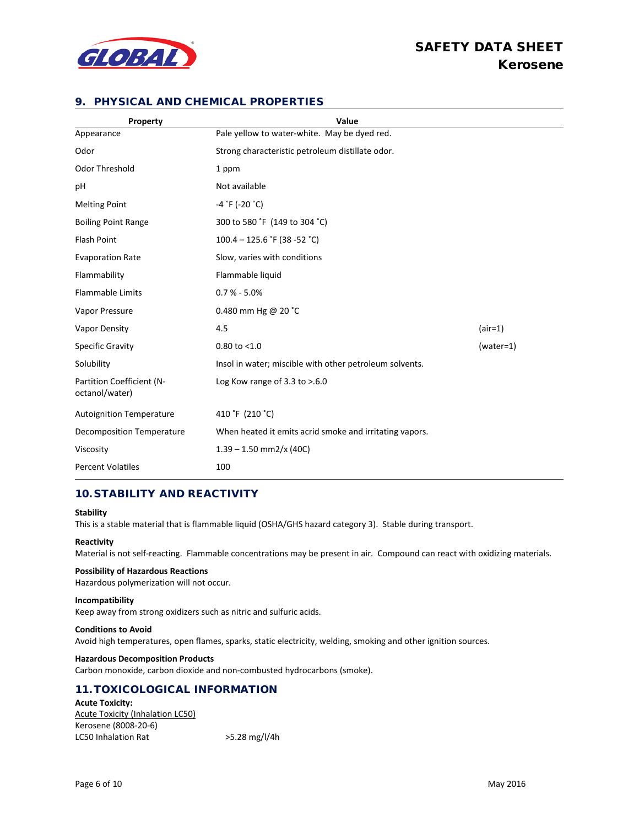

# SAFETY DATA SHEET Kerosene

### 9. PHYSICAL AND CHEMICAL PROPERTIES

| Property                                    | Value                                                   |             |
|---------------------------------------------|---------------------------------------------------------|-------------|
| Appearance                                  | Pale yellow to water-white. May be dyed red.            |             |
| Odor                                        | Strong characteristic petroleum distillate odor.        |             |
| Odor Threshold                              | 1 ppm                                                   |             |
| pH                                          | Not available                                           |             |
| <b>Melting Point</b>                        | $-4$ $\degree$ F (-20 $\degree$ C)                      |             |
| <b>Boiling Point Range</b>                  | 300 to 580 °F (149 to 304 °C)                           |             |
| <b>Flash Point</b>                          | $100.4 - 125.6$ °F (38 -52 °C)                          |             |
| <b>Evaporation Rate</b>                     | Slow, varies with conditions                            |             |
| Flammability                                | Flammable liquid                                        |             |
| Flammable Limits                            | $0.7 % - 5.0%$                                          |             |
| Vapor Pressure                              | 0.480 mm Hg @ 20 $^{\circ}$ C                           |             |
| Vapor Density                               | 4.5                                                     | $(air=1)$   |
| Specific Gravity                            | $0.80$ to $< 1.0$                                       | $(water=1)$ |
| Solubility                                  | Insol in water; miscible with other petroleum solvents. |             |
| Partition Coefficient (N-<br>octanol/water) | Log Kow range of $3.3$ to $> 6.0$                       |             |
| <b>Autoignition Temperature</b>             | 410 °F (210 °C)                                         |             |
| <b>Decomposition Temperature</b>            | When heated it emits acrid smoke and irritating vapors. |             |
| Viscosity                                   | $1.39 - 1.50$ mm2/x (40C)                               |             |
| <b>Percent Volatiles</b>                    | 100                                                     |             |

### 10. STABILITY AND REACTIVITY

#### **Stability**

This is a stable material that is flammable liquid (OSHA/GHS hazard category 3). Stable during transport.

#### **Reactivity**

Material is not self-reacting. Flammable concentrations may be present in air. Compound can react with oxidizing materials.

#### **Possibility of Hazardous Reactions**

Hazardous polymerization will not occur.

#### **Incompatibility**

Keep away from strong oxidizers such as nitric and sulfuric acids.

### **Conditions to Avoid**

Avoid high temperatures, open flames, sparks, static electricity, welding, smoking and other ignition sources.

#### **Hazardous Decomposition Products**

Carbon monoxide, carbon dioxide and non-combusted hydrocarbons (smoke).

### 11. TOXICOLOGICAL INFORMATION

**Acute Toxicity:**  Acute Toxicity (Inhalation LC50) Kerosene (8008-20-6) LC50 Inhalation Rat >5.28 mg/l/4h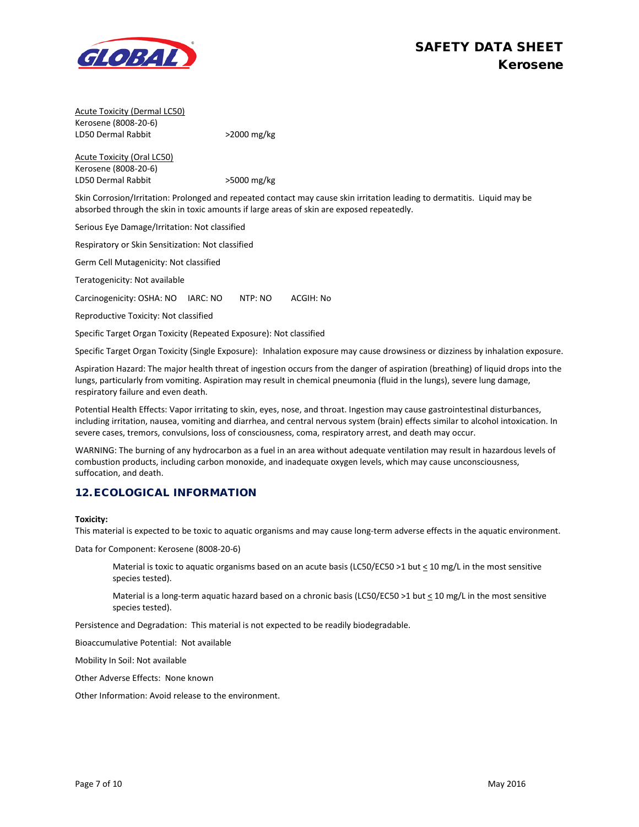

Acute Toxicity (Dermal LC50) Kerosene (8008-20-6) LD50 Dermal Rabbit >2000 mg/kg

Acute Toxicity (Oral LC50) Kerosene (8008-20-6) LD50 Dermal Rabbit >5000 mg/kg

Skin Corrosion/Irritation: Prolonged and repeated contact may cause skin irritation leading to dermatitis. Liquid may be absorbed through the skin in toxic amounts if large areas of skin are exposed repeatedly.

Serious Eye Damage/Irritation: Not classified

Respiratory or Skin Sensitization: Not classified

Germ Cell Mutagenicity: Not classified

Teratogenicity: Not available

Carcinogenicity: OSHA: NO IARC: NO NTP: NO ACGIH: No

Reproductive Toxicity: Not classified

Specific Target Organ Toxicity (Repeated Exposure): Not classified

Specific Target Organ Toxicity (Single Exposure): Inhalation exposure may cause drowsiness or dizziness by inhalation exposure.

Aspiration Hazard: The major health threat of ingestion occurs from the danger of aspiration (breathing) of liquid drops into the lungs, particularly from vomiting. Aspiration may result in chemical pneumonia (fluid in the lungs), severe lung damage, respiratory failure and even death.

Potential Health Effects: Vapor irritating to skin, eyes, nose, and throat. Ingestion may cause gastrointestinal disturbances, including irritation, nausea, vomiting and diarrhea, and central nervous system (brain) effects similar to alcohol intoxication. In severe cases, tremors, convulsions, loss of consciousness, coma, respiratory arrest, and death may occur.

WARNING: The burning of any hydrocarbon as a fuel in an area without adequate ventilation may result in hazardous levels of combustion products, including carbon monoxide, and inadequate oxygen levels, which may cause unconsciousness, suffocation, and death.

### 12. ECOLOGICAL INFORMATION

#### **Toxicity:**

This material is expected to be toxic to aquatic organisms and may cause long-term adverse effects in the aquatic environment.

Data for Component: Kerosene (8008-20-6)

Material is toxic to aquatic organisms based on an acute basis (LC50/EC50 >1 but  $\leq$  10 mg/L in the most sensitive species tested).

Material is a long-term aquatic hazard based on a chronic basis (LC50/EC50 >1 but  $\leq 10$  mg/L in the most sensitive species tested).

Persistence and Degradation: This material is not expected to be readily biodegradable.

Bioaccumulative Potential: Not available

Mobility In Soil: Not available

Other Adverse Effects: None known

Other Information: Avoid release to the environment.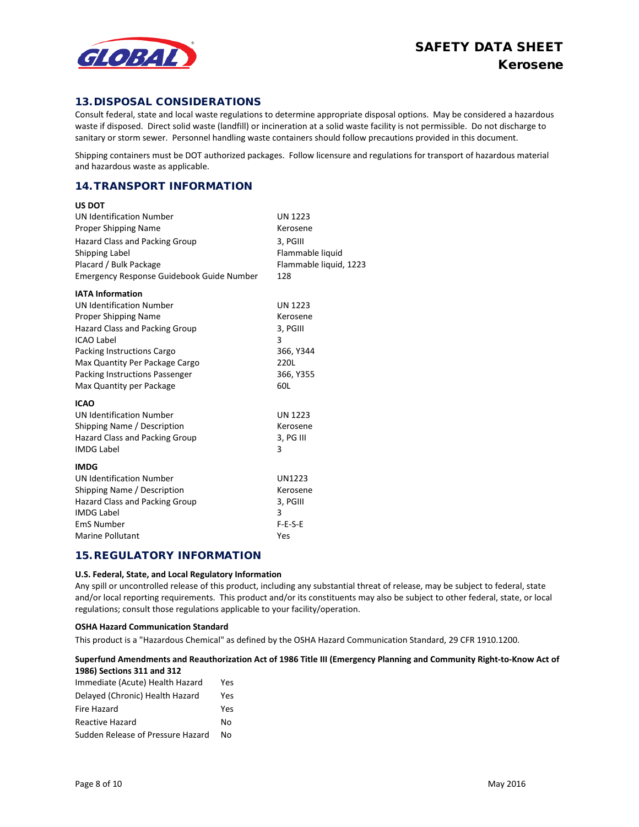

**US DOT**

### 13.DISPOSAL CONSIDERATIONS

Consult federal, state and local waste regulations to determine appropriate disposal options. May be considered a hazardous waste if disposed. Direct solid waste (landfill) or incineration at a solid waste facility is not permissible. Do not discharge to sanitary or storm sewer. Personnel handling waste containers should follow precautions provided in this document.

Shipping containers must be DOT authorized packages. Follow licensure and regulations for transport of hazardous material and hazardous waste as applicable.

### 14. TRANSPORT INFORMATION

| ו טש כט                                   |                        |
|-------------------------------------------|------------------------|
| <b>UN Identification Number</b>           | <b>UN 1223</b>         |
| <b>Proper Shipping Name</b>               | Kerosene               |
| <b>Hazard Class and Packing Group</b>     | 3, PGIII               |
| Shipping Label                            | Flammable liquid       |
| Placard / Bulk Package                    | Flammable liquid, 1223 |
| Emergency Response Guidebook Guide Number | 128                    |
| <b>IATA Information</b>                   |                        |
| <b>UN Identification Number</b>           | <b>UN 1223</b>         |
| Proper Shipping Name                      | Kerosene               |
| Hazard Class and Packing Group            | 3, PGIII               |
| <b>ICAO Label</b>                         | 3                      |
| Packing Instructions Cargo                | 366, Y344              |
| Max Quantity Per Package Cargo            | 220L                   |
| <b>Packing Instructions Passenger</b>     | 366, Y355              |
| Max Quantity per Package                  | 60L                    |
| <b>ICAO</b>                               |                        |
| <b>UN Identification Number</b>           | <b>UN 1223</b>         |
| Shipping Name / Description               | Kerosene               |
| <b>Hazard Class and Packing Group</b>     | 3, PG III              |
| <b>IMDG Label</b>                         | 3                      |
| <b>IMDG</b>                               |                        |
| <b>UN Identification Number</b>           | UN1223                 |
| Shipping Name / Description               | Kerosene               |
| <b>Hazard Class and Packing Group</b>     | 3, PGIII               |
| <b>IMDG Label</b>                         | 3                      |
| <b>EmS Number</b>                         | $F-E-S-E$              |
| Marine Pollutant                          | Yes                    |

### 15.REGULATORY INFORMATION

#### **U.S. Federal, State, and Local Regulatory Information**

Any spill or uncontrolled release of this product, including any substantial threat of release, may be subject to federal, state and/or local reporting requirements. This product and/or its constituents may also be subject to other federal, state, or local regulations; consult those regulations applicable to your facility/operation.

#### **OSHA Hazard Communication Standard**

This product is a "Hazardous Chemical" as defined by the OSHA Hazard Communication Standard, 29 CFR 1910.1200.

#### **Superfund Amendments and Reauthorization Act of 1986 Title III (Emergency Planning and Community Right-to-Know Act of 1986) Sections 311 and 312**

| Immediate (Acute) Health Hazard   | Yes |
|-----------------------------------|-----|
| Delayed (Chronic) Health Hazard   | Yes |
| Fire Hazard                       | Yes |
| <b>Reactive Hazard</b>            | No  |
| Sudden Release of Pressure Hazard | N٥  |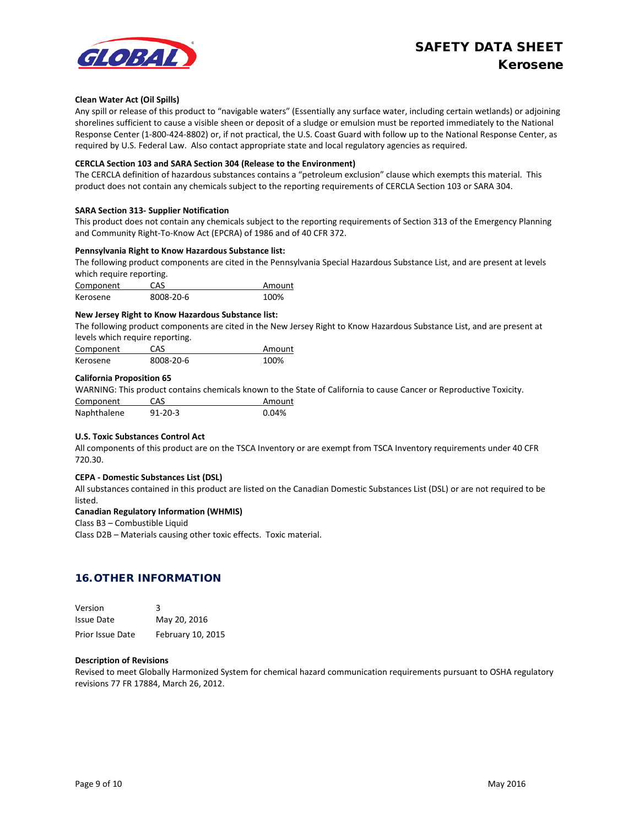# SAFETY DATA SHEET Kerosene



#### **Clean Water Act (Oil Spills)**

Any spill or release of this product to "navigable waters" (Essentially any surface water, including certain wetlands) or adjoining shorelines sufficient to cause a visible sheen or deposit of a sludge or emulsion must be reported immediately to the National Response Center (1-800-424-8802) or, if not practical, the U.S. Coast Guard with follow up to the National Response Center, as required by U.S. Federal Law. Also contact appropriate state and local regulatory agencies as required.

#### **CERCLA Section 103 and SARA Section 304 (Release to the Environment)**

The CERCLA definition of hazardous substances contains a "petroleum exclusion" clause which exempts this material. This product does not contain any chemicals subject to the reporting requirements of CERCLA Section 103 or SARA 304.

#### **SARA Section 313- Supplier Notification**

This product does not contain any chemicals subject to the reporting requirements of Section 313 of the Emergency Planning and Community Right-To-Know Act (EPCRA) of 1986 and of 40 CFR 372.

#### **Pennsylvania Right to Know Hazardous Substance list:**

The following product components are cited in the Pennsylvania Special Hazardous Substance List, and are present at levels which require reporting.

| Component | CAS       | Amount |
|-----------|-----------|--------|
| Kerosene  | 8008-20-6 | 100%   |

#### **New Jersey Right to Know Hazardous Substance list:**

The following product components are cited in the New Jersey Right to Know Hazardous Substance List, and are present at levels which require reporting.

| Component | CAS       | Amount |
|-----------|-----------|--------|
| Kerosene  | 8008-20-6 | 100%   |

### **California Proposition 65**

WARNING: This product contains chemicals known to the State of California to cause Cancer or Reproductive Toxicity. Component CAS Amount Naphthalene 91-20-3 0.04%

#### **U.S. Toxic Substances Control Act**

All components of this product are on the TSCA Inventory or are exempt from TSCA Inventory requirements under 40 CFR 720.30.

#### **CEPA - Domestic Substances List (DSL)**

All substances contained in this product are listed on the Canadian Domestic Substances List (DSL) or are not required to be listed.

#### **Canadian Regulatory Information (WHMIS)**

#### Class B3 – Combustible Liquid

Class D2B – Materials causing other toxic effects. Toxic material.

### 16. OTHER INFORMATION

| Version                 | ર                 |
|-------------------------|-------------------|
| <b>Issue Date</b>       | May 20, 2016      |
| <b>Prior Issue Date</b> | February 10, 2015 |

#### **Description of Revisions**

Revised to meet Globally Harmonized System for chemical hazard communication requirements pursuant to OSHA regulatory revisions 77 FR 17884, March 26, 2012.